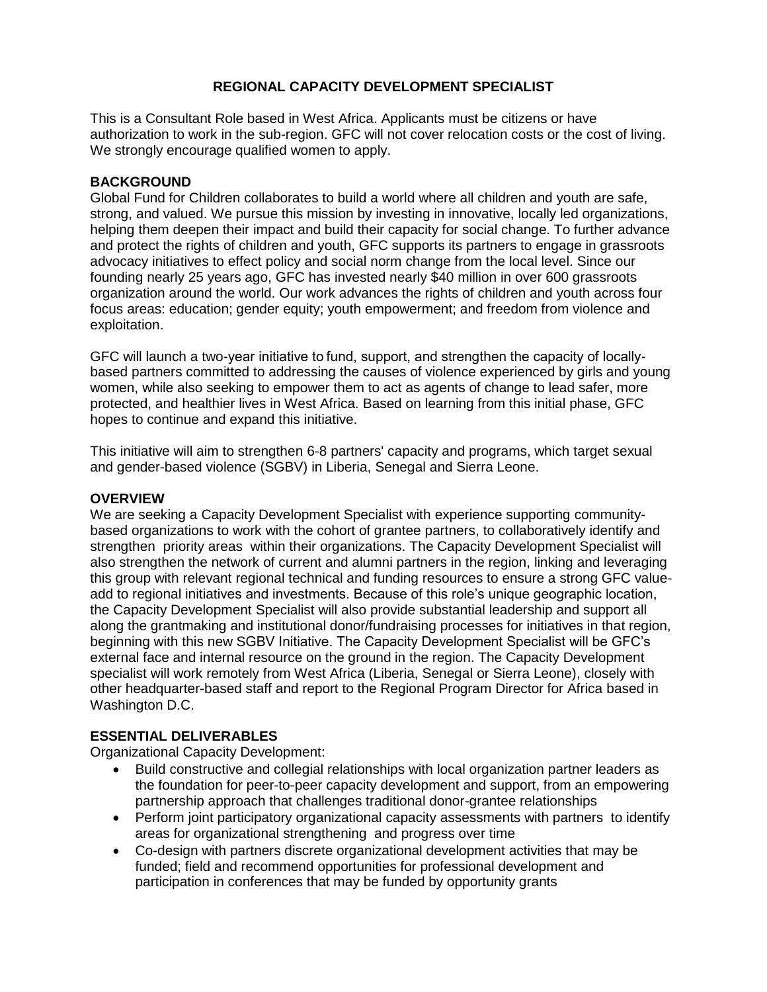## **REGIONAL CAPACITY DEVELOPMENT SPECIALIST**

This is a Consultant Role based in West Africa. Applicants must be citizens or have authorization to work in the sub-region. GFC will not cover relocation costs or the cost of living. We strongly encourage qualified women to apply.

#### **BACKGROUND**

Global Fund for Children collaborates to build a world where all children and youth are safe, strong, and valued. We pursue this mission by investing in innovative, locally led organizations, helping them deepen their impact and build their capacity for social change. To further advance and protect the rights of children and youth, GFC supports its partners to engage in grassroots advocacy initiatives to effect policy and social norm change from the local level. Since our founding nearly 25 years ago, GFC has invested nearly \$40 million in over 600 grassroots organization around the world. Our work advances the rights of children and youth across four focus areas: education; gender equity; youth empowerment; and freedom from violence and exploitation.

GFC will launch a two-year initiative to fund, support, and strengthen the capacity of locallybased partners committed to addressing the causes of violence experienced by girls and young women, while also seeking to empower them to act as agents of change to lead safer, more protected, and healthier lives in West Africa. Based on learning from this initial phase, GFC hopes to continue and expand this initiative.

This initiative will aim to strengthen 6-8 partners' capacity and programs, which target sexual and gender-based violence (SGBV) in Liberia, Senegal and Sierra Leone.

#### **OVERVIEW**

We are seeking a Capacity Development Specialist with experience supporting communitybased organizations to work with the cohort of grantee partners, to collaboratively identify and strengthen priority areas within their organizations. The Capacity Development Specialist will also strengthen the network of current and alumni partners in the region, linking and leveraging this group with relevant regional technical and funding resources to ensure a strong GFC valueadd to regional initiatives and investments. Because of this role's unique geographic location, the Capacity Development Specialist will also provide substantial leadership and support all along the grantmaking and institutional donor/fundraising processes for initiatives in that region, beginning with this new SGBV Initiative. The Capacity Development Specialist will be GFC's external face and internal resource on the ground in the region. The Capacity Development specialist will work remotely from West Africa (Liberia, Senegal or Sierra Leone), closely with other headquarter-based staff and report to the Regional Program Director for Africa based in Washington D.C.

## **ESSENTIAL DELIVERABLES**

Organizational Capacity Development:

- Build constructive and collegial relationships with local organization partner leaders as the foundation for peer-to-peer capacity development and support, from an empowering partnership approach that challenges traditional donor-grantee relationships
- Perform joint participatory organizational capacity assessments with partners to identify areas for organizational strengthening and progress over time
- Co-design with partners discrete organizational development activities that may be funded; field and recommend opportunities for professional development and participation in conferences that may be funded by opportunity grants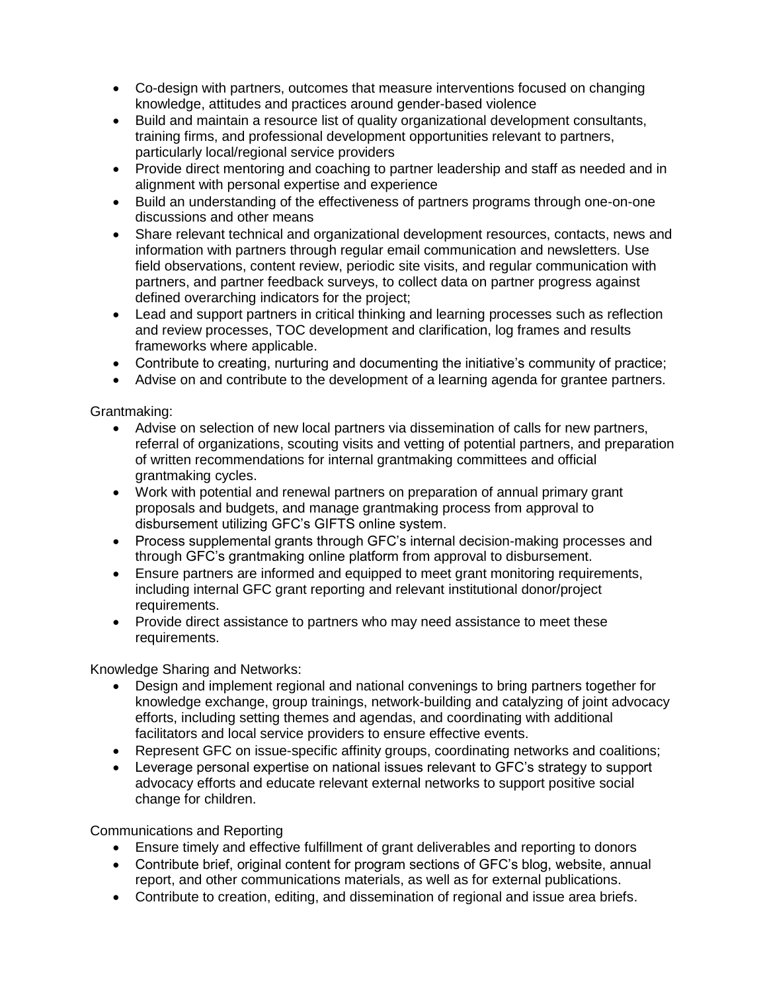- Co-design with partners, outcomes that measure interventions focused on changing knowledge, attitudes and practices around gender-based violence
- Build and maintain a resource list of quality organizational development consultants, training firms, and professional development opportunities relevant to partners, particularly local/regional service providers
- Provide direct mentoring and coaching to partner leadership and staff as needed and in alignment with personal expertise and experience
- Build an understanding of the effectiveness of partners programs through one-on-one discussions and other means
- Share relevant technical and organizational development resources, contacts, news and information with partners through regular email communication and newsletters. Use field observations, content review, periodic site visits, and regular communication with partners, and partner feedback surveys, to collect data on partner progress against defined overarching indicators for the project;
- Lead and support partners in critical thinking and learning processes such as reflection and review processes, TOC development and clarification, log frames and results frameworks where applicable.
- Contribute to creating, nurturing and documenting the initiative's community of practice;
- Advise on and contribute to the development of a learning agenda for grantee partners.

Grantmaking:

- Advise on selection of new local partners via dissemination of calls for new partners, referral of organizations, scouting visits and vetting of potential partners, and preparation of written recommendations for internal grantmaking committees and official grantmaking cycles.
- Work with potential and renewal partners on preparation of annual primary grant proposals and budgets, and manage grantmaking process from approval to disbursement utilizing GFC's GIFTS online system.
- Process supplemental grants through GFC's internal decision-making processes and through GFC's grantmaking online platform from approval to disbursement.
- Ensure partners are informed and equipped to meet grant monitoring requirements, including internal GFC grant reporting and relevant institutional donor/project requirements.
- Provide direct assistance to partners who may need assistance to meet these requirements.

Knowledge Sharing and Networks:

- Design and implement regional and national convenings to bring partners together for knowledge exchange, group trainings, network-building and catalyzing of joint advocacy efforts, including setting themes and agendas, and coordinating with additional facilitators and local service providers to ensure effective events.
- Represent GFC on issue-specific affinity groups, coordinating networks and coalitions;
- Leverage personal expertise on national issues relevant to GFC's strategy to support advocacy efforts and educate relevant external networks to support positive social change for children.

Communications and Reporting

- Ensure timely and effective fulfillment of grant deliverables and reporting to donors
- Contribute brief, original content for program sections of GFC's blog, website, annual report, and other communications materials, as well as for external publications.
- Contribute to creation, editing, and dissemination of regional and issue area briefs.